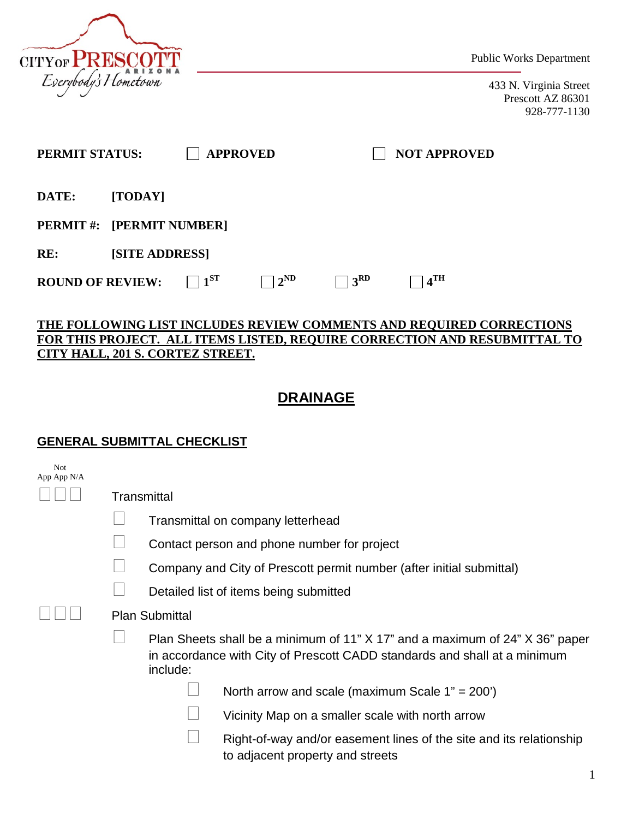

Public Works Department

433 N. Virginia Street Prescott AZ 86301 928-777-1130

| PERMIT STATUS:          |                                  |          | <b>APPROVED</b> |                 | <b>NOT APPROVED</b> |  |
|-------------------------|----------------------------------|----------|-----------------|-----------------|---------------------|--|
| DATE:                   | [TODAY]                          |          |                 |                 |                     |  |
|                         | <b>PERMIT #: [PERMIT NUMBER]</b> |          |                 |                 |                     |  |
| RE:                     | <b>[SITE ADDRESS]</b>            |          |                 |                 |                     |  |
| <b>ROUND OF REVIEW:</b> |                                  | $1^{ST}$ | $2^{\rm ND}$    | 3 <sup>RD</sup> | 4 <sup>TH</sup>     |  |

#### **THE FOLLOWING LIST INCLUDES REVIEW COMMENTS AND REQUIRED CORRECTIONS FOR THIS PROJECT. ALL ITEMS LISTED, REQUIRE CORRECTION AND RESUBMITTAL TO CITY HALL, 201 S. CORTEZ STREET.**

# **DRAINAGE**

#### **GENERAL SUBMITTAL CHECKLIST**

| <b>Not</b><br>App App N/A |             |                       |                                                                                                                                                           |  |
|---------------------------|-------------|-----------------------|-----------------------------------------------------------------------------------------------------------------------------------------------------------|--|
|                           | Transmittal |                       |                                                                                                                                                           |  |
|                           |             |                       | Transmittal on company letterhead                                                                                                                         |  |
|                           |             |                       | Contact person and phone number for project                                                                                                               |  |
|                           |             |                       | Company and City of Prescott permit number (after initial submittal)                                                                                      |  |
|                           |             |                       | Detailed list of items being submitted                                                                                                                    |  |
|                           |             | <b>Plan Submittal</b> |                                                                                                                                                           |  |
|                           |             | include:              | Plan Sheets shall be a minimum of 11" X 17" and a maximum of 24" X 36" paper<br>in accordance with City of Prescott CADD standards and shall at a minimum |  |
|                           |             |                       | North arrow and scale (maximum Scale $1" = 200'$ )                                                                                                        |  |
|                           |             |                       | Vicinity Map on a smaller scale with north arrow                                                                                                          |  |
|                           |             |                       | Right-of-way and/or easement lines of the site and its relationship<br>to adjacent property and streets                                                   |  |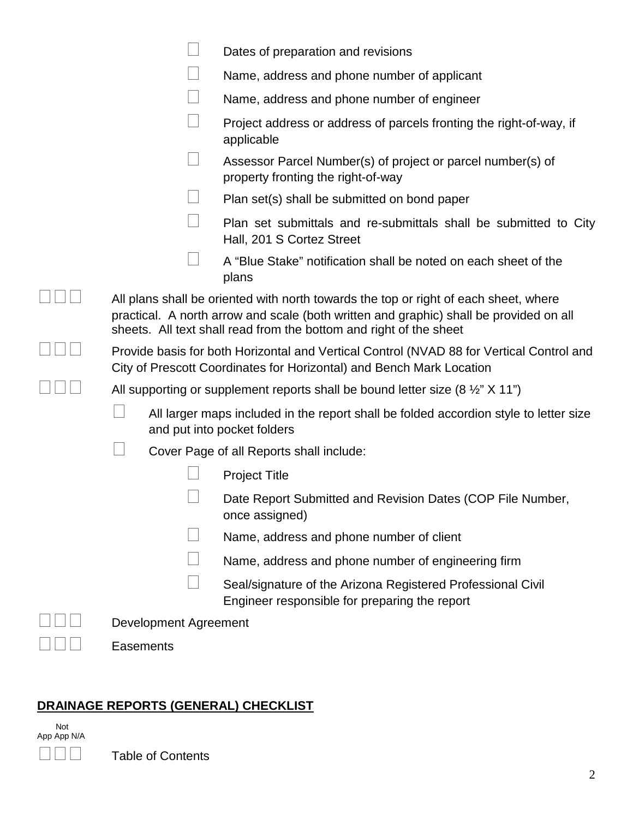|                                                                                                                                                                                                                                                      | Dates of preparation and revisions                                                                                   |  |
|------------------------------------------------------------------------------------------------------------------------------------------------------------------------------------------------------------------------------------------------------|----------------------------------------------------------------------------------------------------------------------|--|
|                                                                                                                                                                                                                                                      | Name, address and phone number of applicant                                                                          |  |
|                                                                                                                                                                                                                                                      | Name, address and phone number of engineer                                                                           |  |
|                                                                                                                                                                                                                                                      | Project address or address of parcels fronting the right-of-way, if<br>applicable                                    |  |
|                                                                                                                                                                                                                                                      | Assessor Parcel Number(s) of project or parcel number(s) of<br>property fronting the right-of-way                    |  |
|                                                                                                                                                                                                                                                      | Plan set(s) shall be submitted on bond paper                                                                         |  |
|                                                                                                                                                                                                                                                      | Plan set submittals and re-submittals shall be submitted to City<br>Hall, 201 S Cortez Street                        |  |
|                                                                                                                                                                                                                                                      | A "Blue Stake" notification shall be noted on each sheet of the<br>plans                                             |  |
| All plans shall be oriented with north towards the top or right of each sheet, where<br>practical. A north arrow and scale (both written and graphic) shall be provided on all<br>sheets. All text shall read from the bottom and right of the sheet |                                                                                                                      |  |
| Provide basis for both Horizontal and Vertical Control (NVAD 88 for Vertical Control and<br>City of Prescott Coordinates for Horizontal) and Bench Mark Location                                                                                     |                                                                                                                      |  |
|                                                                                                                                                                                                                                                      | All supporting or supplement reports shall be bound letter size $(8 \frac{1}{2} \times 11 \text{ m})$                |  |
|                                                                                                                                                                                                                                                      | All larger maps included in the report shall be folded accordion style to letter size<br>and put into pocket folders |  |
|                                                                                                                                                                                                                                                      | Cover Page of all Reports shall include:                                                                             |  |
|                                                                                                                                                                                                                                                      | <b>Project Title</b>                                                                                                 |  |
|                                                                                                                                                                                                                                                      | Date Report Submitted and Revision Dates (COP File Number,<br>once assigned)                                         |  |
|                                                                                                                                                                                                                                                      | Name, address and phone number of client                                                                             |  |
|                                                                                                                                                                                                                                                      | Name, address and phone number of engineering firm                                                                   |  |
|                                                                                                                                                                                                                                                      | Seal/signature of the Arizona Registered Professional Civil<br>Engineer responsible for preparing the report         |  |
| <b>Development Agreement</b>                                                                                                                                                                                                                         |                                                                                                                      |  |
| Easements                                                                                                                                                                                                                                            |                                                                                                                      |  |

# **DRAINAGE REPORTS (GENERAL) CHECKLIST**

 Not App App N/A

 $\Box$  $\Box$  Table of Contents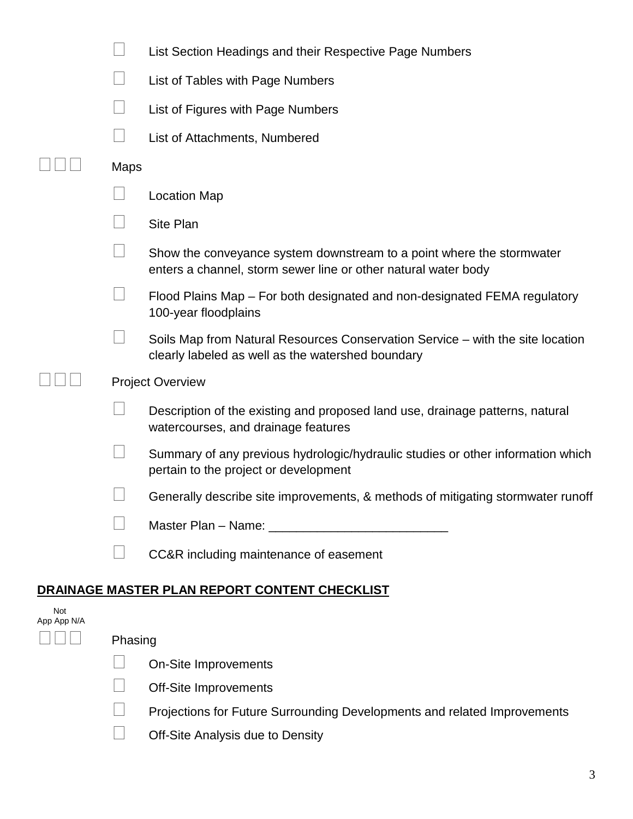|                    |      | List Section Headings and their Respective Page Numbers                                                                                 |
|--------------------|------|-----------------------------------------------------------------------------------------------------------------------------------------|
|                    |      | List of Tables with Page Numbers                                                                                                        |
|                    |      | List of Figures with Page Numbers                                                                                                       |
|                    |      | List of Attachments, Numbered                                                                                                           |
|                    | Maps |                                                                                                                                         |
|                    |      | <b>Location Map</b>                                                                                                                     |
|                    |      | <b>Site Plan</b>                                                                                                                        |
|                    |      | Show the conveyance system downstream to a point where the stormwater<br>enters a channel, storm sewer line or other natural water body |
|                    |      | Flood Plains Map – For both designated and non-designated FEMA regulatory<br>100-year floodplains                                       |
|                    |      | Soils Map from Natural Resources Conservation Service - with the site location<br>clearly labeled as well as the watershed boundary     |
|                    |      | <b>Project Overview</b>                                                                                                                 |
|                    |      | Description of the existing and proposed land use, drainage patterns, natural<br>watercourses, and drainage features                    |
|                    |      | Summary of any previous hydrologic/hydraulic studies or other information which<br>pertain to the project or development                |
|                    |      | Generally describe site improvements, & methods of mitigating stormwater runoff                                                         |
|                    |      |                                                                                                                                         |
|                    |      | CC&R including maintenance of easement                                                                                                  |
|                    |      | DRAI <u>NAGE MASTER PLAN REPORT CONTENT CHECKLIST</u>                                                                                   |
| Not<br>App App N/A |      |                                                                                                                                         |

 $\square \square \square$  Phasing

On-Site Improvements

Off-Site Improvements

□ Projections for Future Surrounding Developments and related Improvements<br>○ Off-Site Analysis due to Density

| $\Box$ | Off-Site Analysis due to Density |
|--------|----------------------------------|
|--------|----------------------------------|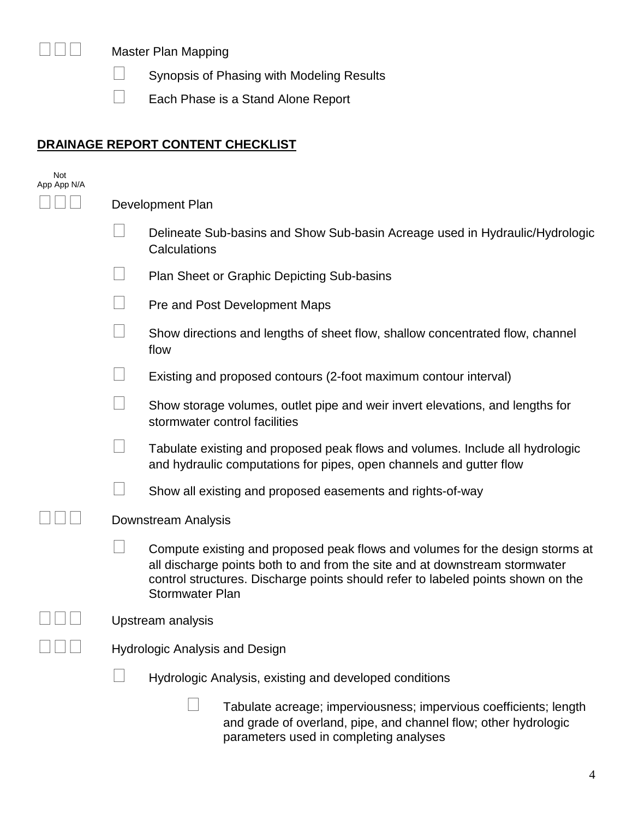

□□□ Master Plan Mapping

Synopsis of Phasing with Modeling Results

Each Phase is a Stand Alone Report

# **DRAINAGE REPORT CONTENT CHECKLIST**

| Not<br>App App N/A |                  |                                                                                                                                                                                                                                                                            |  |
|--------------------|------------------|----------------------------------------------------------------------------------------------------------------------------------------------------------------------------------------------------------------------------------------------------------------------------|--|
|                    | Development Plan |                                                                                                                                                                                                                                                                            |  |
|                    |                  | Delineate Sub-basins and Show Sub-basin Acreage used in Hydraulic/Hydrologic<br>Calculations                                                                                                                                                                               |  |
|                    |                  | <b>Plan Sheet or Graphic Depicting Sub-basins</b>                                                                                                                                                                                                                          |  |
|                    |                  | Pre and Post Development Maps                                                                                                                                                                                                                                              |  |
|                    |                  | Show directions and lengths of sheet flow, shallow concentrated flow, channel<br>flow                                                                                                                                                                                      |  |
|                    |                  | Existing and proposed contours (2-foot maximum contour interval)                                                                                                                                                                                                           |  |
|                    |                  | Show storage volumes, outlet pipe and weir invert elevations, and lengths for<br>stormwater control facilities                                                                                                                                                             |  |
|                    |                  | Tabulate existing and proposed peak flows and volumes. Include all hydrologic<br>and hydraulic computations for pipes, open channels and gutter flow                                                                                                                       |  |
|                    |                  | Show all existing and proposed easements and rights-of-way                                                                                                                                                                                                                 |  |
|                    |                  | Downstream Analysis                                                                                                                                                                                                                                                        |  |
|                    |                  | Compute existing and proposed peak flows and volumes for the design storms at<br>all discharge points both to and from the site and at downstream stormwater<br>control structures. Discharge points should refer to labeled points shown on the<br><b>Stormwater Plan</b> |  |
|                    |                  | Upstream analysis                                                                                                                                                                                                                                                          |  |
|                    |                  | <b>Hydrologic Analysis and Design</b>                                                                                                                                                                                                                                      |  |
|                    |                  | Hydrologic Analysis, existing and developed conditions                                                                                                                                                                                                                     |  |
|                    |                  | Tabulate acreage; imperviousness; impervious coefficients; length<br>and grade of overland, pipe, and channel flow; other hydrologic                                                                                                                                       |  |

parameters used in completing analyses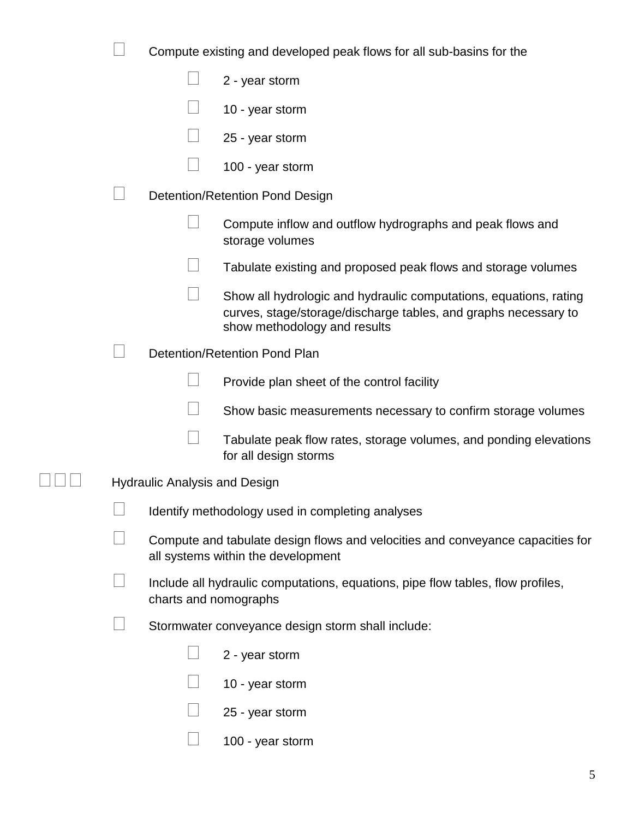|  |                                      | Compute existing and developed peak flows for all sub-basins for the                                                                                                 |
|--|--------------------------------------|----------------------------------------------------------------------------------------------------------------------------------------------------------------------|
|  |                                      | 2 - year storm                                                                                                                                                       |
|  |                                      | 10 - year storm                                                                                                                                                      |
|  |                                      | 25 - year storm                                                                                                                                                      |
|  |                                      | 100 - year storm                                                                                                                                                     |
|  |                                      | Detention/Retention Pond Design                                                                                                                                      |
|  |                                      | Compute inflow and outflow hydrographs and peak flows and<br>storage volumes                                                                                         |
|  |                                      | Tabulate existing and proposed peak flows and storage volumes                                                                                                        |
|  |                                      | Show all hydrologic and hydraulic computations, equations, rating<br>curves, stage/storage/discharge tables, and graphs necessary to<br>show methodology and results |
|  |                                      | Detention/Retention Pond Plan                                                                                                                                        |
|  |                                      | Provide plan sheet of the control facility                                                                                                                           |
|  |                                      | Show basic measurements necessary to confirm storage volumes                                                                                                         |
|  |                                      | Tabulate peak flow rates, storage volumes, and ponding elevations<br>for all design storms                                                                           |
|  | <b>Hydraulic Analysis and Design</b> |                                                                                                                                                                      |
|  |                                      | Identify methodology used in completing analyses                                                                                                                     |
|  |                                      | Compute and tabulate design flows and velocities and conveyance capacities for<br>all systems within the development                                                 |
|  | charts and nomographs                | Include all hydraulic computations, equations, pipe flow tables, flow profiles,                                                                                      |
|  |                                      | Stormwater conveyance design storm shall include:                                                                                                                    |
|  |                                      | 2 - year storm                                                                                                                                                       |
|  |                                      | 10 - year storm                                                                                                                                                      |
|  |                                      | 25 - year storm                                                                                                                                                      |
|  |                                      | 100 - year storm                                                                                                                                                     |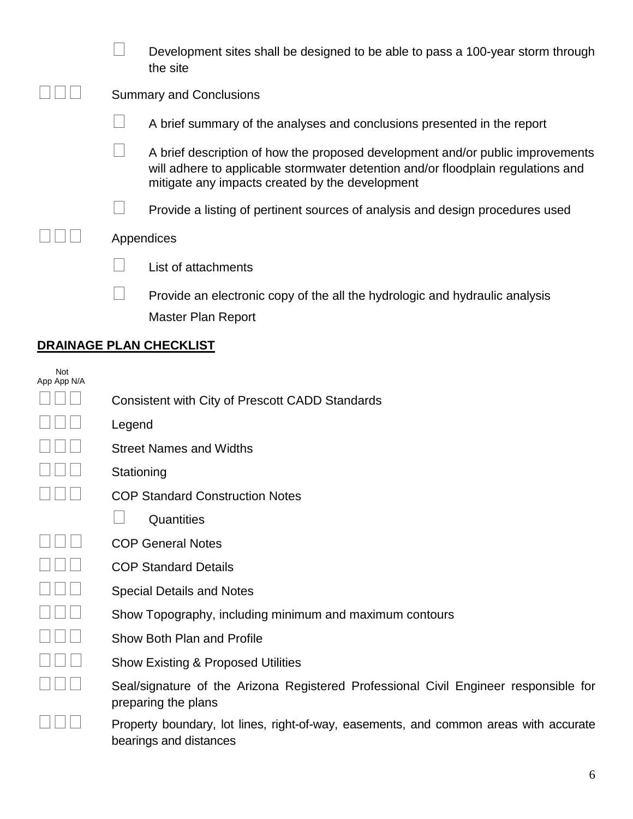|  | Development sites shall be designed to be able to pass a 100-year storm through<br>the site                                                                                                                           |
|--|-----------------------------------------------------------------------------------------------------------------------------------------------------------------------------------------------------------------------|
|  | <b>Summary and Conclusions</b>                                                                                                                                                                                        |
|  | A brief summary of the analyses and conclusions presented in the report                                                                                                                                               |
|  | A brief description of how the proposed development and/or public improvements<br>will adhere to applicable stormwater detention and/or floodplain regulations and<br>mitigate any impacts created by the development |
|  | Provide a listing of pertinent sources of analysis and design procedures used                                                                                                                                         |
|  | Appendices                                                                                                                                                                                                            |
|  | List of attachments                                                                                                                                                                                                   |
|  | Provide an electronic copy of the all the hydrologic and hydraulic analysis<br>Master Plan Report                                                                                                                     |

#### **DRAINAGE PLAN CHECKLIST**

| App | Not<br>App | N/A |  |
|-----|------------|-----|--|
|     |            |     |  |
|     |            |     |  |
| I   |            |     |  |
| I   | I          |     |  |
| I   |            |     |  |
|     |            |     |  |
|     | I          |     |  |
| I   |            |     |  |
|     |            |     |  |
| I   |            |     |  |
|     |            |     |  |
|     |            |     |  |
|     |            |     |  |
|     |            |     |  |
|     |            |     |  |

| Legend                                                                                                      |
|-------------------------------------------------------------------------------------------------------------|
| <b>Street Names and Widths</b>                                                                              |
| Stationing                                                                                                  |
| <b>COP Standard Construction Notes</b>                                                                      |
| Quantities                                                                                                  |
| <b>COP General Notes</b>                                                                                    |
| <b>COP Standard Details</b>                                                                                 |
| <b>Special Details and Notes</b>                                                                            |
| Show Topography, including minimum and maximum contours                                                     |
| Show Both Plan and Profile                                                                                  |
| <b>Show Existing &amp; Proposed Utilities</b>                                                               |
| Seal/signature of the Arizona Registered Professional Civil Engineer responsible for<br>preparing the plans |
| Property boundary, lot lines, right-of-way, easements, and common areas with accurate                       |

Consistent with City of Prescott CADD Standards

 Property boundary, lot lines, right-of-way, easements, and common areas with accurate bearings and distances